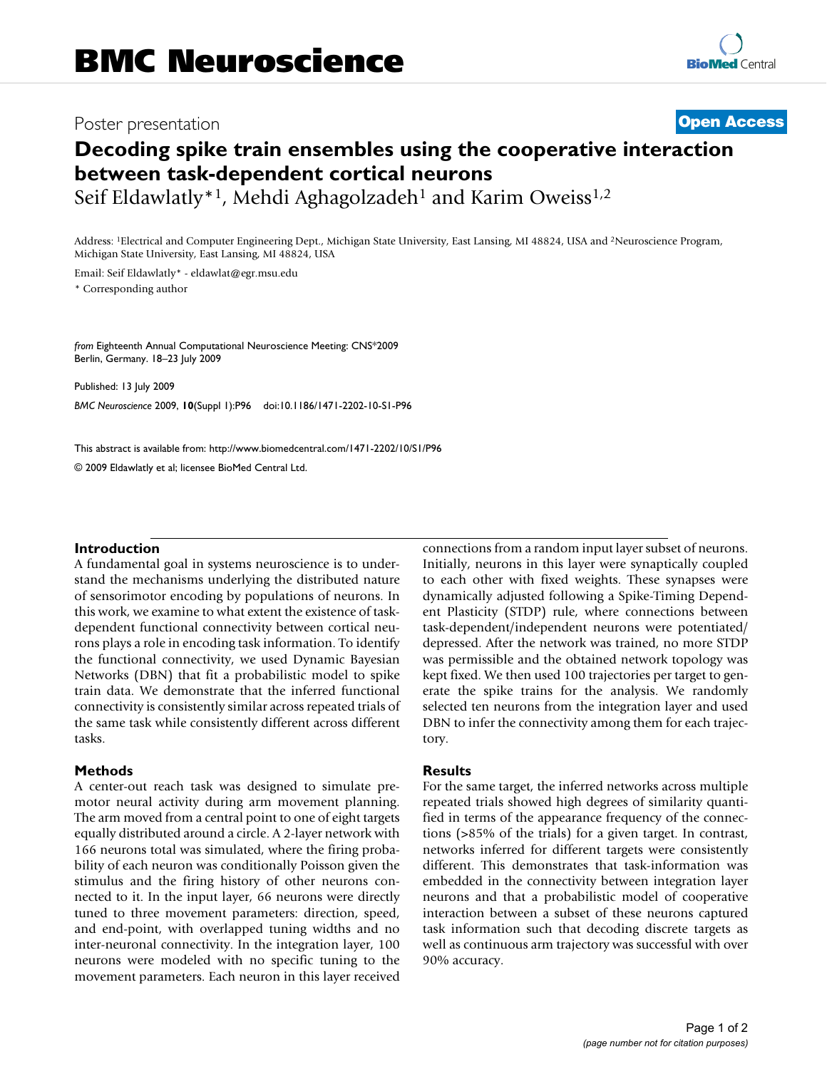## Poster presentation **Contract Contract Contract Contract Contract Contract Contract Contract Contract Contract Contract Contract Contract Contract Contract Contract Contract Contract Contract Contract Contract Contract Con**

# **Decoding spike train ensembles using the cooperative interaction between task-dependent cortical neurons**

Seif Eldawlatly<sup>\*1</sup>, Mehdi Aghagolzadeh<sup>1</sup> and Karim Oweiss<sup>1,2</sup>

Address: 1Electrical and Computer Engineering Dept., Michigan State University, East Lansing, MI 48824, USA and 2Neuroscience Program, Michigan State University, East Lansing, MI 48824, USA

Email: Seif Eldawlatly\* - eldawlat@egr.msu.edu

\* Corresponding author

*from* Eighteenth Annual Computational Neuroscience Meeting: CNS\*2009 Berlin, Germany. 18–23 July 2009

Published: 13 July 2009 *BMC Neuroscience* 2009, **10**(Suppl 1):P96 doi:10.1186/1471-2202-10-S1-P96

[This abstract is available from: http://www.biomedcentral.com/1471-2202/10/S1/P96](http://www.biomedcentral.com/1471-2202/10/S1/P96)

© 2009 Eldawlatly et al; licensee BioMed Central Ltd.

#### **Introduction**

A fundamental goal in systems neuroscience is to understand the mechanisms underlying the distributed nature of sensorimotor encoding by populations of neurons. In this work, we examine to what extent the existence of taskdependent functional connectivity between cortical neurons plays a role in encoding task information. To identify the functional connectivity, we used Dynamic Bayesian Networks (DBN) that fit a probabilistic model to spike train data. We demonstrate that the inferred functional connectivity is consistently similar across repeated trials of the same task while consistently different across different tasks.

### **Methods**

A center-out reach task was designed to simulate premotor neural activity during arm movement planning. The arm moved from a central point to one of eight targets equally distributed around a circle. A 2-layer network with 166 neurons total was simulated, where the firing probability of each neuron was conditionally Poisson given the stimulus and the firing history of other neurons connected to it. In the input layer, 66 neurons were directly tuned to three movement parameters: direction, speed, and end-point, with overlapped tuning widths and no inter-neuronal connectivity. In the integration layer, 100 neurons were modeled with no specific tuning to the movement parameters. Each neuron in this layer received connections from a random input layer subset of neurons. Initially, neurons in this layer were synaptically coupled to each other with fixed weights. These synapses were dynamically adjusted following a Spike-Timing Dependent Plasticity (STDP) rule, where connections between task-dependent/independent neurons were potentiated/ depressed. After the network was trained, no more STDP was permissible and the obtained network topology was kept fixed. We then used 100 trajectories per target to generate the spike trains for the analysis. We randomly selected ten neurons from the integration layer and used DBN to infer the connectivity among them for each trajectory.

### **Results**

For the same target, the inferred networks across multiple repeated trials showed high degrees of similarity quantified in terms of the appearance frequency of the connections (>85% of the trials) for a given target. In contrast, networks inferred for different targets were consistently different. This demonstrates that task-information was embedded in the connectivity between integration layer neurons and that a probabilistic model of cooperative interaction between a subset of these neurons captured task information such that decoding discrete targets as well as continuous arm trajectory was successful with over 90% accuracy.